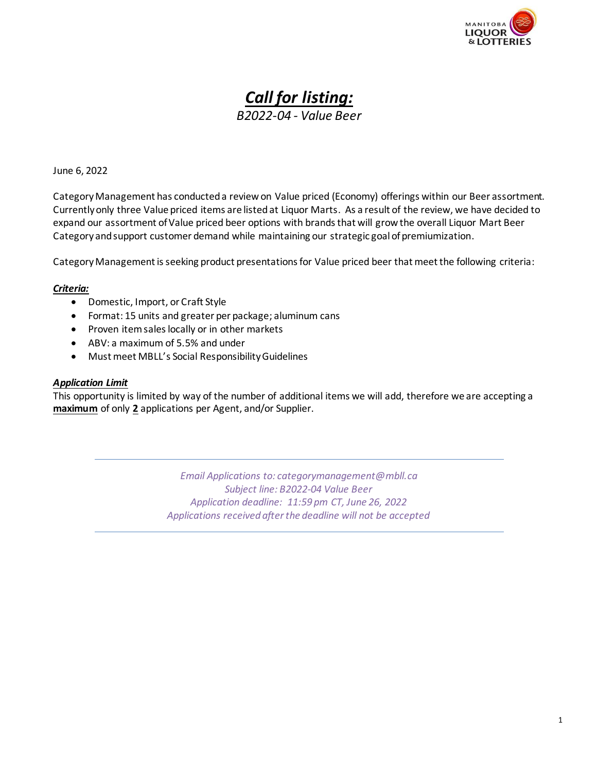

# *Call for listing:*

*B2022-04 - Value Beer*

## June 6, 2022

CategoryManagement has conducted a review on Value priced (Economy) offerings within our Beer assortment. Currently only three Value priced items are listed at Liquor Marts. As a result of the review, we have decided to expand our assortment of Value priced beer options with brands that will grow the overall Liquor Mart Beer Category and support customer demand while maintaining our strategic goal of premiumization.

CategoryManagement is seeking product presentations for Value priced beer that meet the following criteria:

### *Criteria:*

- Domestic, Import, or Craft Style
- Format: 15 units and greater per package; aluminum cans
- Proven itemsales locally or in other markets
- ABV: a maximum of 5.5% and under
- Must meet MBLL's Social Responsibility Guidelines

#### *Application Limit*

This opportunity is limited by way of the number of additional items we will add, therefore we are accepting a **maximum** of only **2** applications per Agent, and/or Supplier.

> *Email Applications to: [categorymanagement@mbll.ca](mailto:categorymanagement@mbll.ca)  Subject line: B2022-04 Value Beer Application deadline: 11:59 pm CT, June 26, 2022 Applications received after the deadline will not be accepted*